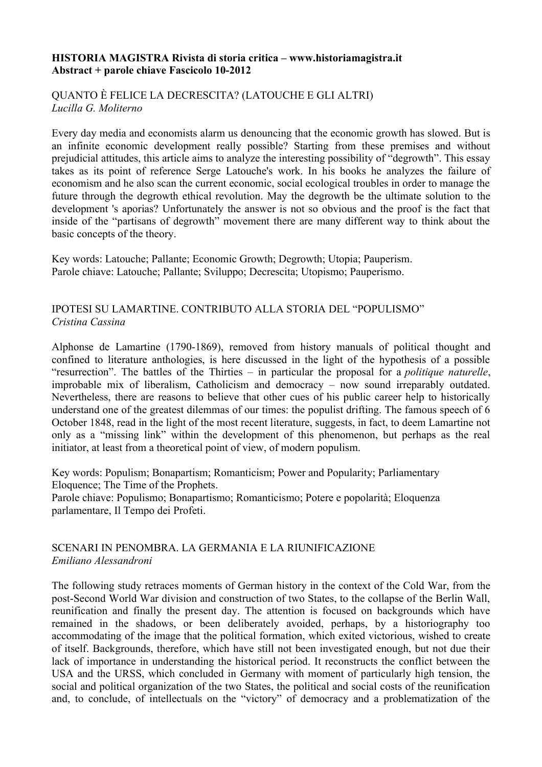#### **HISTORIA MAGISTRA Rivista di storia critica – www.historiamagistra.it Abstract + parole chiave Fascicolo 10-2012**

## QUANTO È FELICE LA DECRESCITA? (LATOUCHE E GLI ALTRI) *Lucilla G. Moliterno*

Every day media and economists alarm us denouncing that the economic growth has slowed. But is an infinite economic development really possible? Starting from these premises and without prejudicial attitudes, this article aims to analyze the interesting possibility of "degrowth". This essay takes as its point of reference Serge Latouche's work. In his books he analyzes the failure of economism and he also scan the current economic, social ecological troubles in order to manage the future through the degrowth ethical revolution. May the degrowth be the ultimate solution to the development 's aporias? Unfortunately the answer is not so obvious and the proof is the fact that inside of the "partisans of degrowth" movement there are many different way to think about the basic concepts of the theory.

Key words: Latouche; Pallante; Economic Growth; Degrowth; Utopia; Pauperism. Parole chiave: Latouche; Pallante; Sviluppo; Decrescita; Utopismo; Pauperismo.

## IPOTESI SU LAMARTINE. CONTRIBUTO ALLA STORIA DEL "POPULISMO" *Cristina Cassina*

Alphonse de Lamartine (1790-1869), removed from history manuals of political thought and confined to literature anthologies, is here discussed in the light of the hypothesis of a possible "resurrection". The battles of the Thirties – in particular the proposal for a *politique naturelle*, improbable mix of liberalism, Catholicism and democracy – now sound irreparably outdated. Nevertheless, there are reasons to believe that other cues of his public career help to historically understand one of the greatest dilemmas of our times: the populist drifting. The famous speech of 6 October 1848, read in the light of the most recent literature, suggests, in fact, to deem Lamartine not only as a "missing link" within the development of this phenomenon, but perhaps as the real initiator, at least from a theoretical point of view, of modern populism.

Key words: Populism; Bonapartism; Romanticism; Power and Popularity; Parliamentary Eloquence; The Time of the Prophets.

Parole chiave: Populismo; Bonapartismo; Romanticismo; Potere e popolarità; Eloquenza parlamentare, Il Tempo dei Profeti.

## SCENARI IN PENOMBRA. LA GERMANIA E LA RIUNIFICAZIONE *Emiliano Alessandroni*

The following study retraces moments of German history in the context of the Cold War, from the post-Second World War division and construction of two States, to the collapse of the Berlin Wall, reunification and finally the present day. The attention is focused on backgrounds which have remained in the shadows, or been deliberately avoided, perhaps, by a historiography too accommodating of the image that the political formation, which exited victorious, wished to create of itself. Backgrounds, therefore, which have still not been investigated enough, but not due their lack of importance in understanding the historical period. It reconstructs the conflict between the USA and the URSS, which concluded in Germany with moment of particularly high tension, the social and political organization of the two States, the political and social costs of the reunification and, to conclude, of intellectuals on the "victory" of democracy and a problematization of the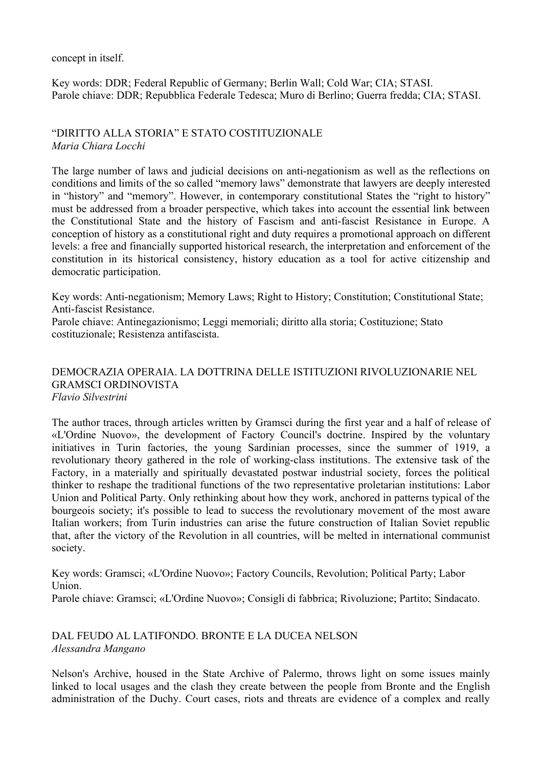concept in itself.

Key words: DDR; Federal Republic of Germany; Berlin Wall; Cold War; CIA; STASI. Parole chiave: DDR; Repubblica Federale Tedesca; Muro di Berlino; Guerra fredda; CIA; STASI.

"DIRITTO ALLA STORIA" E STATO COSTITUZIONALE *Maria Chiara Locchi*

The large number of laws and judicial decisions on anti-negationism as well as the reflections on conditions and limits of the so called "memory laws" demonstrate that lawyers are deeply interested in "history" and "memory". However, in contemporary constitutional States the "right to history" must be addressed from a broader perspective, which takes into account the essential link between the Constitutional State and the history of Fascism and anti-fascist Resistance in Europe. A conception of history as a constitutional right and duty requires a promotional approach on different levels: a free and financially supported historical research, the interpretation and enforcement of the constitution in its historical consistency, history education as a tool for active citizenship and democratic participation.

Key words: Anti-negationism; Memory Laws; Right to History; Constitution; Constitutional State; Anti-fascist Resistance.

Parole chiave: Antinegazionismo; Leggi memoriali; diritto alla storia; Costituzione; Stato costituzionale; Resistenza antifascista.

### DEMOCRAZIA OPERAIA. LA DOTTRINA DELLE ISTITUZIONI RIVOLUZIONARIE NEL GRAMSCI ORDINOVISTA *Flavio Silvestrini*

The author traces, through articles written by Gramsci during the first year and a half of release of «L'Ordine Nuovo», the development of Factory Council's doctrine. Inspired by the voluntary initiatives in Turin factories, the young Sardinian processes, since the summer of 1919, a revolutionary theory gathered in the role of working-class institutions. The extensive task of the Factory, in a materially and spiritually devastated postwar industrial society, forces the political thinker to reshape the traditional functions of the two representative proletarian institutions: Labor Union and Political Party. Only rethinking about how they work, anchored in patterns typical of the bourgeois society; it's possible to lead to success the revolutionary movement of the most aware Italian workers; from Turin industries can arise the future construction of Italian Soviet republic that, after the victory of the Revolution in all countries, will be melted in international communist society.

Key words: Gramsci; «L'Ordine Nuovo»; Factory Councils, Revolution; Political Party; Labor Union. Parole chiave: Gramsci; «L'Ordine Nuovo»; Consigli di fabbrica; Rivoluzione; Partito; Sindacato.

## DAL FEUDO AL LATIFONDO. BRONTE E LA DUCEA NELSON *Alessandra Mangano*

Nelson's Archive, housed in the State Archive of Palermo, throws light on some issues mainly linked to local usages and the clash they create between the people from Bronte and the English administration of the Duchy. Court cases, riots and threats are evidence of a complex and really